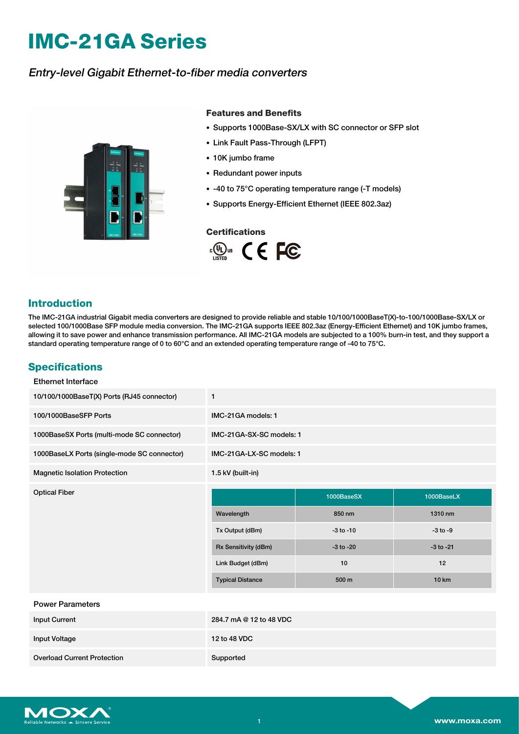# **IMC-21GA Series**

## Entry-level Gigabit Ethernet-to-fiber media converters



#### **Features and Benefits**

- Supports 1000Base-SX/LX with SC connector or SFP slot
- Link Fault Pass-Through (LFPT)
- 10K jumbo frame
- Redundant power inputs
- -40 to 75°C operating temperature range (-T models)
- Supports Energy-Efficient Ethernet (IEEE 802.3az)

#### **Certifications**



## **Introduction**

The IMC-21GA industrial Gigabit media converters are designed to provide reliable and stable 10/100/1000BaseT(X)-to-100/1000Base-SX/LX or selected 100/1000Base SFP module media conversion. The IMC-21GA supports IEEE 802.3az (Energy-Efficient Ethernet) and 10K jumbo frames, allowing it to save power and enhance transmission performance. All IMC-21GA models are subjected to a 100% burn-in test, and they support a standard operating temperature range of 0 to 60°C and an extended operating temperature range of -40 to 75°C.

## **Specifications**

| <b>Ethernet Interface</b>                   |                          |               |               |
|---------------------------------------------|--------------------------|---------------|---------------|
| 10/100/1000BaseT(X) Ports (RJ45 connector)  | $\mathbf{1}$             |               |               |
| 100/1000BaseSFP Ports                       | IMC-21GA models: 1       |               |               |
| 1000BaseSX Ports (multi-mode SC connector)  | IMC-21GA-SX-SC models: 1 |               |               |
| 1000BaseLX Ports (single-mode SC connector) | IMC-21GA-LX-SC models: 1 |               |               |
| <b>Magnetic Isolation Protection</b>        | 1.5 kV (built-in)        |               |               |
| <b>Optical Fiber</b>                        |                          | 1000BaseSX    | 1000BaseLX    |
|                                             |                          |               |               |
|                                             | Wavelength               | 850 nm        | 1310 nm       |
|                                             | Tx Output (dBm)          | $-3$ to $-10$ | $-3$ to $-9$  |
|                                             | Rx Sensitivity (dBm)     | $-3$ to $-20$ | $-3$ to $-21$ |
|                                             | Link Budget (dBm)        | 10            | 12            |
|                                             | <b>Typical Distance</b>  | 500 m         | <b>10 km</b>  |
| <b>Power Parameters</b>                     |                          |               |               |
| <b>Input Current</b>                        | 284.7 mA @ 12 to 48 VDC  |               |               |

Overload Current Protection Supported

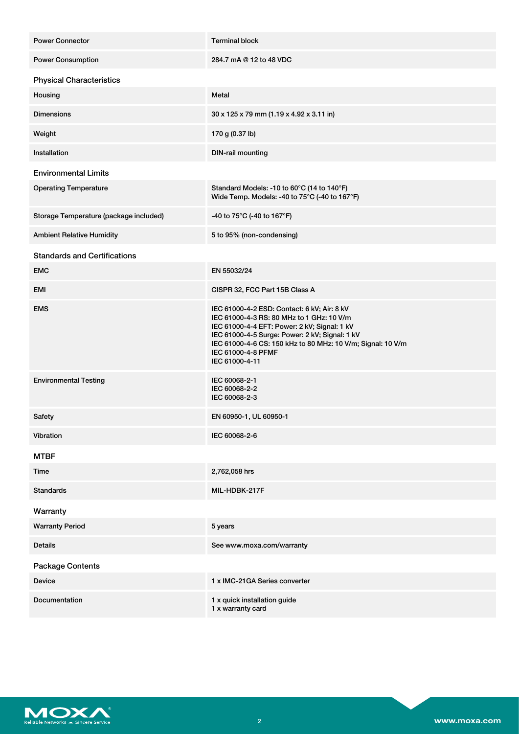| <b>Power Connector</b>                 | <b>Terminal block</b>                                                                                                                                                                                                                                                                             |
|----------------------------------------|---------------------------------------------------------------------------------------------------------------------------------------------------------------------------------------------------------------------------------------------------------------------------------------------------|
| <b>Power Consumption</b>               | 284.7 mA @ 12 to 48 VDC                                                                                                                                                                                                                                                                           |
| <b>Physical Characteristics</b>        |                                                                                                                                                                                                                                                                                                   |
| Housing                                | Metal                                                                                                                                                                                                                                                                                             |
| <b>Dimensions</b>                      | 30 x 125 x 79 mm (1.19 x 4.92 x 3.11 in)                                                                                                                                                                                                                                                          |
| Weight                                 | 170 g (0.37 lb)                                                                                                                                                                                                                                                                                   |
| Installation                           | <b>DIN-rail mounting</b>                                                                                                                                                                                                                                                                          |
| <b>Environmental Limits</b>            |                                                                                                                                                                                                                                                                                                   |
| <b>Operating Temperature</b>           | Standard Models: -10 to 60°C (14 to 140°F)<br>Wide Temp. Models: -40 to 75°C (-40 to 167°F)                                                                                                                                                                                                       |
| Storage Temperature (package included) | -40 to 75°C (-40 to 167°F)                                                                                                                                                                                                                                                                        |
| <b>Ambient Relative Humidity</b>       | 5 to 95% (non-condensing)                                                                                                                                                                                                                                                                         |
| <b>Standards and Certifications</b>    |                                                                                                                                                                                                                                                                                                   |
| <b>EMC</b>                             | EN 55032/24                                                                                                                                                                                                                                                                                       |
| <b>EMI</b>                             | CISPR 32, FCC Part 15B Class A                                                                                                                                                                                                                                                                    |
| <b>EMS</b>                             | IEC 61000-4-2 ESD: Contact: 6 kV; Air: 8 kV<br>IEC 61000-4-3 RS: 80 MHz to 1 GHz: 10 V/m<br>IEC 61000-4-4 EFT: Power: 2 kV; Signal: 1 kV<br>IEC 61000-4-5 Surge: Power: 2 kV; Signal: 1 kV<br>IEC 61000-4-6 CS: 150 kHz to 80 MHz: 10 V/m; Signal: 10 V/m<br>IEC 61000-4-8 PFMF<br>IEC 61000-4-11 |
| <b>Environmental Testing</b>           | IEC 60068-2-1<br>IEC 60068-2-2<br>IEC 60068-2-3                                                                                                                                                                                                                                                   |
| Safety                                 | EN 60950-1, UL 60950-1                                                                                                                                                                                                                                                                            |
| Vibration                              | IEC 60068-2-6                                                                                                                                                                                                                                                                                     |
| <b>MTBF</b>                            |                                                                                                                                                                                                                                                                                                   |
| Time                                   | 2,762,058 hrs                                                                                                                                                                                                                                                                                     |
| <b>Standards</b>                       | MIL-HDBK-217F                                                                                                                                                                                                                                                                                     |
| Warranty                               |                                                                                                                                                                                                                                                                                                   |
| <b>Warranty Period</b>                 | 5 years                                                                                                                                                                                                                                                                                           |
| <b>Details</b>                         | See www.moxa.com/warranty                                                                                                                                                                                                                                                                         |
| <b>Package Contents</b>                |                                                                                                                                                                                                                                                                                                   |
| <b>Device</b>                          | 1 x IMC-21GA Series converter                                                                                                                                                                                                                                                                     |
| Documentation                          | 1 x quick installation guide<br>1 x warranty card                                                                                                                                                                                                                                                 |

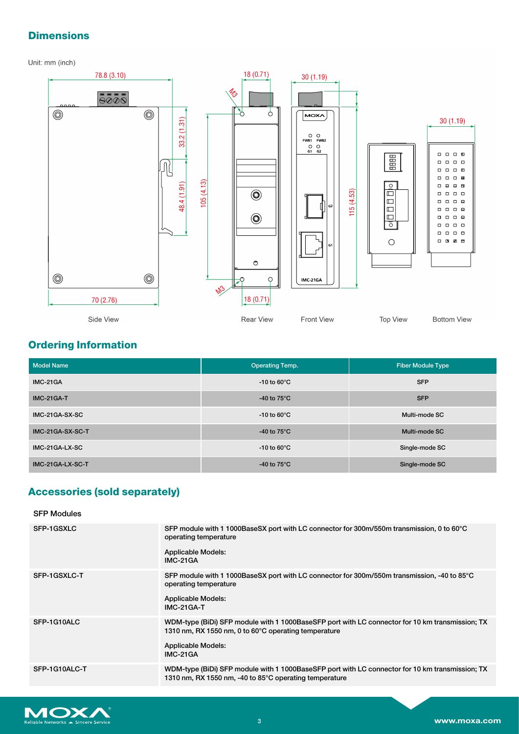# **Dimensions**

Unit: mm (inch)



# **Ordering Information**

| <b>Model Name</b> | <b>Operating Temp.</b>  | <b>Fiber Module Type</b> |
|-------------------|-------------------------|--------------------------|
| <b>IMC-21GA</b>   | -10 to 60 $\degree$ C   | <b>SFP</b>               |
| <b>IMC-21GA-T</b> | -40 to $75^{\circ}$ C   | <b>SFP</b>               |
| IMC-21GA-SX-SC    | -10 to 60 $\degree$ C   | Multi-mode SC            |
| IMC-21GA-SX-SC-T  | -40 to $75^{\circ}$ C   | Multi-mode SC            |
| IMC-21GA-LX-SC    | $-10$ to 60 $\degree$ C | Single-mode SC           |
| IMC-21GA-LX-SC-T  | -40 to $75^{\circ}$ C   | Single-mode SC           |

## **Accessories (sold separately)**

### SFP Modules

| <b>SFP-1GSXLC</b> | SFP module with 1 1000BaseSX port with LC connector for 300m/550m transmission, 0 to 60°C<br>operating temperature<br>Applicable Models:<br>IMC-21GA                                             |
|-------------------|--------------------------------------------------------------------------------------------------------------------------------------------------------------------------------------------------|
| SFP-1GSXLC-T      | SFP module with 1 1000BaseSX port with LC connector for 300m/550m transmission, -40 to 85°C<br>operating temperature<br>Applicable Models:<br><b>IMC-21GA-T</b>                                  |
| SFP-1G10ALC       | WDM-type (BiDi) SFP module with 1 1000BaseSFP port with LC connector for 10 km transmission; TX<br>1310 nm, RX 1550 nm, 0 to 60°C operating temperature<br><b>Applicable Models:</b><br>IMC-21GA |
| SFP-1G10ALC-T     | WDM-type (BiDi) SFP module with 1 1000BaseSFP port with LC connector for 10 km transmission; TX<br>1310 nm, RX 1550 nm, -40 to 85°C operating temperature                                        |

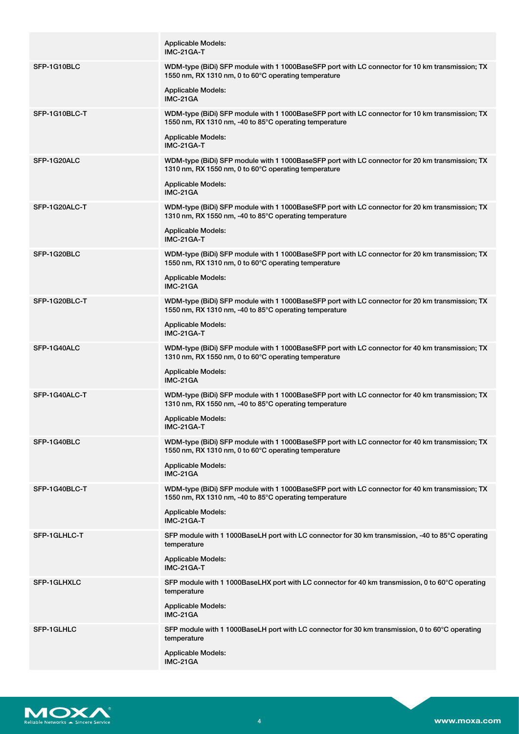|                    | <b>Applicable Models:</b><br><b>IMC-21GA-T</b>                                                                                                            |
|--------------------|-----------------------------------------------------------------------------------------------------------------------------------------------------------|
| SFP-1G10BLC        | WDM-type (BiDi) SFP module with 1 1000BaseSFP port with LC connector for 10 km transmission; TX<br>1550 nm, RX 1310 nm, 0 to 60°C operating temperature   |
|                    | Applicable Models:<br>IMC-21GA                                                                                                                            |
| SFP-1G10BLC-T      | WDM-type (BiDi) SFP module with 1 1000BaseSFP port with LC connector for 10 km transmission; TX<br>1550 nm, RX 1310 nm, -40 to 85°C operating temperature |
|                    | <b>Applicable Models:</b><br><b>IMC-21GA-T</b>                                                                                                            |
| SFP-1G20ALC        | WDM-type (BiDi) SFP module with 1 1000BaseSFP port with LC connector for 20 km transmission; TX<br>1310 nm, RX 1550 nm, 0 to 60°C operating temperature   |
|                    | <b>Applicable Models:</b><br>IMC-21GA                                                                                                                     |
| SFP-1G20ALC-T      | WDM-type (BiDi) SFP module with 1 1000BaseSFP port with LC connector for 20 km transmission; TX<br>1310 nm, RX 1550 nm, -40 to 85°C operating temperature |
|                    | <b>Applicable Models:</b><br>IMC-21GA-T                                                                                                                   |
| SFP-1G20BLC        | WDM-type (BiDi) SFP module with 1 1000BaseSFP port with LC connector for 20 km transmission; TX<br>1550 nm, RX 1310 nm, 0 to 60°C operating temperature   |
|                    | <b>Applicable Models:</b><br>IMC-21GA                                                                                                                     |
| SFP-1G20BLC-T      | WDM-type (BiDi) SFP module with 1 1000BaseSFP port with LC connector for 20 km transmission; TX<br>1550 nm, RX 1310 nm, -40 to 85°C operating temperature |
|                    | <b>Applicable Models:</b><br>IMC-21GA-T                                                                                                                   |
| SFP-1G40ALC        | WDM-type (BiDi) SFP module with 1 1000BaseSFP port with LC connector for 40 km transmission; TX<br>1310 nm, RX 1550 nm, 0 to 60°C operating temperature   |
|                    | <b>Applicable Models:</b><br>IMC-21GA                                                                                                                     |
| SFP-1G40ALC-T      | WDM-type (BiDi) SFP module with 1 1000BaseSFP port with LC connector for 40 km transmission; TX<br>1310 nm, RX 1550 nm, -40 to 85°C operating temperature |
|                    | <b>Applicable Models:</b><br><b>IMC-21GA-T</b>                                                                                                            |
| SFP-1G40BLC        | WDM-type (BiDi) SFP module with 1 1000BaseSFP port with LC connector for 40 km transmission; TX<br>1550 nm, RX 1310 nm, 0 to 60°C operating temperature   |
|                    | Applicable Models:<br><b>IMC-21GA</b>                                                                                                                     |
| SFP-1G40BLC-T      | WDM-type (BiDi) SFP module with 1 1000BaseSFP port with LC connector for 40 km transmission; TX<br>1550 nm, RX 1310 nm, -40 to 85°C operating temperature |
|                    | Applicable Models:<br>IMC-21GA-T                                                                                                                          |
| SFP-1GLHLC-T       | SFP module with 1 1000BaseLH port with LC connector for 30 km transmission, -40 to 85°C operating<br>temperature                                          |
|                    | Applicable Models:<br>IMC-21GA-T                                                                                                                          |
| <b>SFP-1GLHXLC</b> | SFP module with 1 1000BaseLHX port with LC connector for 40 km transmission, 0 to 60°C operating<br>temperature                                           |
|                    | <b>Applicable Models:</b><br><b>IMC-21GA</b>                                                                                                              |
| <b>SFP-1GLHLC</b>  | SFP module with 1 1000BaseLH port with LC connector for 30 km transmission, 0 to 60°C operating<br>temperature                                            |
|                    | <b>Applicable Models:</b><br>IMC-21GA                                                                                                                     |

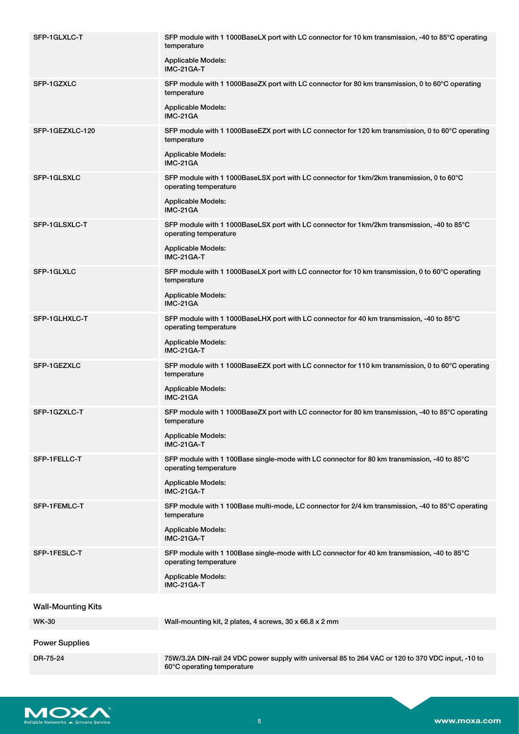| SFP-1GLXLC-T              | SFP module with 1 1000BaseLX port with LC connector for 10 km transmission, -40 to 85°C operating<br>temperature<br><b>Applicable Models:</b><br>IMC-21GA-T        |
|---------------------------|--------------------------------------------------------------------------------------------------------------------------------------------------------------------|
| SFP-1GZXLC                | SFP module with 1 1000BaseZX port with LC connector for 80 km transmission, 0 to 60°C operating<br>temperature<br><b>Applicable Models:</b><br>IMC-21GA            |
| SFP-1GEZXLC-120           | SFP module with 1 1000BaseEZX port with LC connector for 120 km transmission, 0 to 60°C operating<br>temperature<br><b>Applicable Models:</b><br>IMC-21GA          |
| SFP-1GLSXLC               | SFP module with 1 1000BaseLSX port with LC connector for 1km/2km transmission, 0 to 60°C<br>operating temperature<br><b>Applicable Models:</b><br>IMC-21GA         |
| SFP-1GLSXLC-T             | SFP module with 1 1000BaseLSX port with LC connector for 1km/2km transmission, -40 to 85°C<br>operating temperature<br><b>Applicable Models:</b><br>IMC-21GA-T     |
| SFP-1GLXLC                | SFP module with 1 1000BaseLX port with LC connector for 10 km transmission, 0 to 60°C operating<br>temperature<br><b>Applicable Models:</b><br>IMC-21GA            |
| SFP-1GLHXLC-T             | SFP module with 1 1000BaseLHX port with LC connector for 40 km transmission, -40 to 85°C<br>operating temperature<br><b>Applicable Models:</b><br>IMC-21GA-T       |
| SFP-1GEZXLC               | SFP module with 1 1000BaseEZX port with LC connector for 110 km transmission, 0 to 60°C operating<br>temperature<br><b>Applicable Models:</b><br>IMC-21GA          |
| SFP-1GZXLC-T              | SFP module with 1 1000BaseZX port with LC connector for 80 km transmission, -40 to 85°C operating<br>temperature<br><b>Applicable Models:</b><br><b>IMC-21GA-T</b> |
| SFP-1FELLC-T              | SFP module with 1 100Base single-mode with LC connector for 80 km transmission, -40 to 85°C<br>operating temperature<br><b>Applicable Models:</b><br>IMC-21GA-T    |
| SFP-1FEMLC-T              | SFP module with 1 100Base multi-mode, LC connector for 2/4 km transmission, -40 to 85°C operating<br>temperature<br><b>Applicable Models:</b><br>IMC-21GA-T        |
| SFP-1FESLC-T              | SFP module with 1 100Base single-mode with LC connector for 40 km transmission, -40 to 85°C<br>operating temperature<br><b>Applicable Models:</b><br>IMC-21GA-T    |
| <b>Wall-Mounting Kits</b> |                                                                                                                                                                    |
| <b>WK-30</b>              | Wall-mounting kit, 2 plates, 4 screws, 30 x 66.8 x 2 mm                                                                                                            |
| <b>Power Supplies</b>     |                                                                                                                                                                    |
| DR-75-24                  | 75W/3.2A DIN-rail 24 VDC power supply with universal 85 to 264 VAC or 120 to 370 VDC input, -10 to<br>60°C operating temperature                                   |